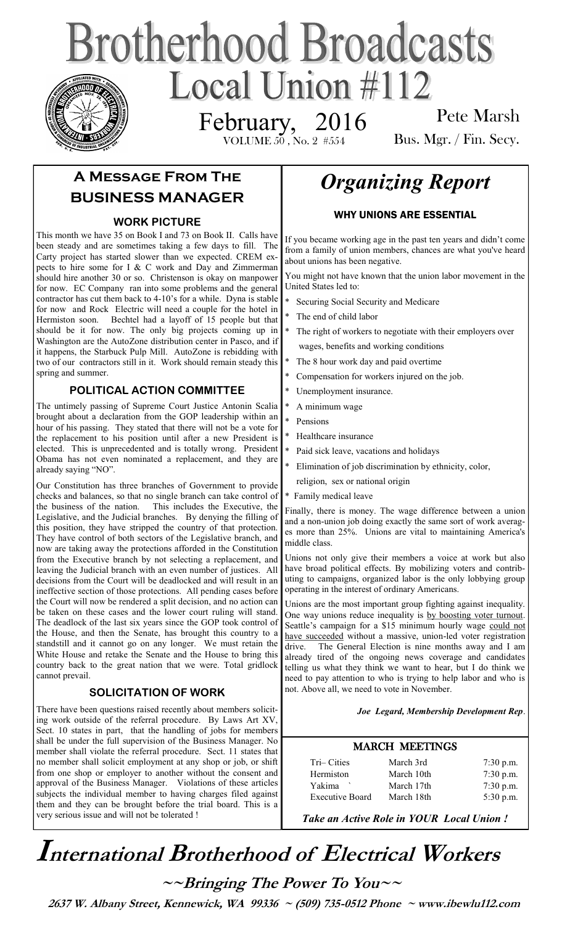# **Brotherhood Broadcasts** Local Union #112 February, 2016

VOLUME  $5\bar{0}$  , No.  $2$  # $554$ 

Pete Marsh Bus. Mgr. / Fin. Secy.

# **A Message From The BUSINESS MANAGER**

# **WORK PICTURE**

This month we have 35 on Book I and 73 on Book II. Calls have been steady and are sometimes taking a few days to fill. The Carty project has started slower than we expected. CREM expects to hire some for I  $&$  C work and Day and Zimmerman should hire another 30 or so. Christenson is okay on manpower for now. EC Company ran into some problems and the general contractor has cut them back to 4-10's for a while. Dyna is stable for now and Rock Electric will need a couple for the hotel in Hermiston soon. Bechtel had a layoff of 15 people but that should be it for now. The only big projects coming up in Washington are the AutoZone distribution center in Pasco, and if it happens, the Starbuck Pulp Mill. AutoZone is rebidding with two of our contractors still in it. Work should remain steady this spring and summer.

# **POLITICAL ACTION COMMITTEE**

The untimely passing of Supreme Court Justice Antonin Scalia brought about a declaration from the GOP leadership within an hour of his passing. They stated that there will not be a vote for the replacement to his position until after a new President is elected. This is unprecedented and is totally wrong. President Obama has not even nominated a replacement, and they are already saying "NO".

Our Constitution has three branches of Government to provide checks and balances, so that no single branch can take control of the business of the nation. This includes the Executive, the Legislative, and the Judicial branches. By denying the filling of this position, they have stripped the country of that protection. They have control of both sectors of the Legislative branch, and now are taking away the protections afforded in the Constitution from the Executive branch by not selecting a replacement, and leaving the Judicial branch with an even number of justices. All decisions from the Court will be deadlocked and will result in an ineffective section of those protections. All pending cases before the Court will now be rendered a split decision, and no action can be taken on these cases and the lower court ruling will stand. The deadlock of the last six years since the GOP took control of the House, and then the Senate, has brought this country to a standstill and it cannot go on any longer. We must retain the White House and retake the Senate and the House to bring this country back to the great nation that we were. Total gridlock cannot prevail.

# **SOLICITATION OF WORK**

There have been questions raised recently about members soliciting work outside of the referral procedure. By Laws Art XV, Sect. 10 states in part, that the handling of jobs for members shall be under the full supervision of the Business Manager. No member shall violate the referral procedure. Sect. 11 states that no member shall solicit employment at any shop or job, or shift from one shop or employer to another without the consent and approval of the Business Manager. Violations of these articles subjects the individual member to having charges filed against them and they can be brought before the trial board. This is a very serious issue and will not be tolerated !

# *Organizing Report*

# WHY UNIONS ARE ESSENTIAL

If you became working age in the past ten years and didn't come from a family of union members, chances are what you've heard about unions has been negative.

You might not have known that the union labor movement in the United States led to:

- Securing Social Security and Medicare
- The end of child labor
- The right of workers to negotiate with their employers over wages, benefits and working conditions
- The 8 hour work day and paid overtime
- Compensation for workers injured on the job.
- Unemployment insurance.
- A minimum wage
- Pensions
- Healthcare insurance
- Paid sick leave, vacations and holidays
- Elimination of job discrimination by ethnicity, color,
- religion, sex or national origin
- \* Family medical leave

Finally, there is money. The wage difference between a union and a non-union job doing exactly the same sort of work averages more than 25%. Unions are vital to maintaining America's middle class.

Unions not only give their members a voice at work but also have broad political effects. By mobilizing voters and contributing to campaigns, organized labor is the only lobbying group operating in the interest of ordinary Americans.

Unions are the most important group fighting against inequality. One way unions reduce inequality is [by boosting voter turnout.](http://america.aljazeera.com/opinions/2015/3/progressives-need-to-stop-looking-for-a-hero.html) Seattle's campaign for a \$15 minimum hourly wage [could not](http://prospect.org/article/labor-crossroads-seeds-new-movement)  [have succeeded](http://prospect.org/article/labor-crossroads-seeds-new-movement) without a massive, union-led voter registration drive. The General Election is nine months away and I am already tired of the ongoing news coverage and candidates telling us what they think we want to hear, but I do think we need to pay attention to who is trying to help labor and who is not. Above all, we need to vote in November.

### *Joe Legard, Membership Development Rep*.

# MARCH MEETINGS

| Tri-Cities             | March 3rd  | $7:30$ p.m. |
|------------------------|------------|-------------|
| Hermiston              | March 10th | $7:30$ p.m. |
| Yakima                 | March 17th | $7:30$ p.m. |
| <b>Executive Board</b> | March 18th | $5:30$ p.m. |

*Take an Active Role in YOUR Local Union !* 

# **International Brotherhood of <sup>E</sup>lectrical Workers**

**~~Bringing The Power To You~~** 

 **2637 W. Albany Street, Kennewick, WA 99336 ~ (509) 735-0512 Phone ~ www.ibewlu112.com**